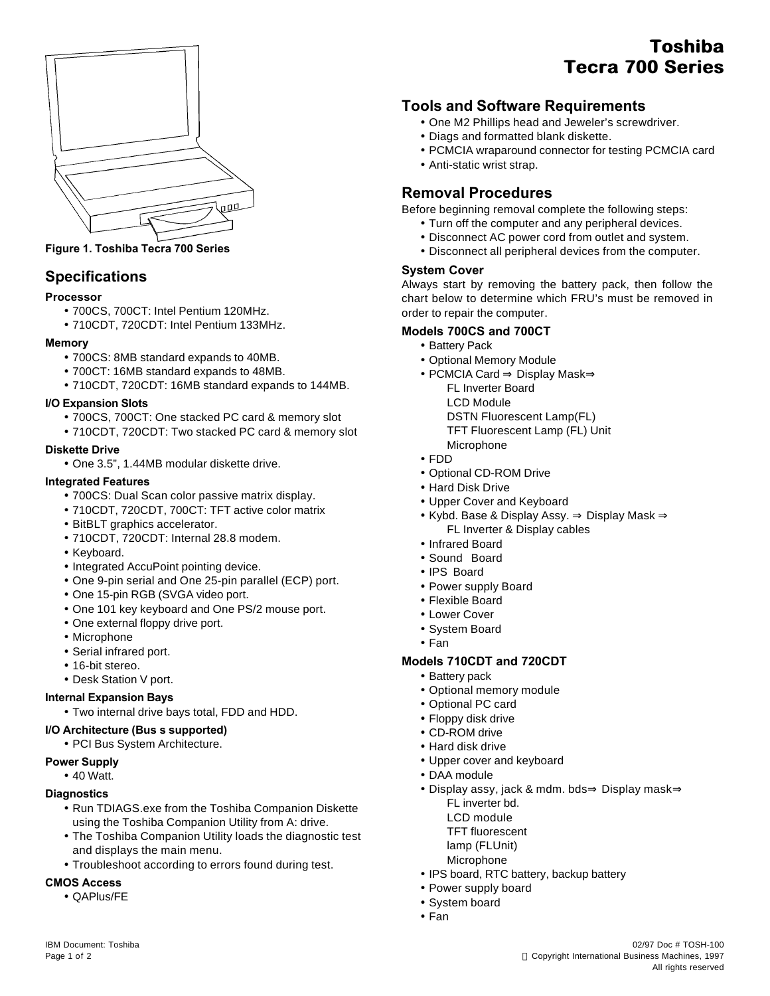

**Figure 1. Toshiba Tecra 700 Series**

# **Specifications**

## **Processor**

- 700CS, 700CT: Intel Pentium 120MHz.
- 710CDT, 720CDT: Intel Pentium 133MHz.

## **Memory**

- 700CS: 8MB standard expands to 40MB.
- 700CT: 16MB standard expands to 48MB.
- 710CDT, 720CDT: 16MB standard expands to 144MB.

## **I/O Expansion Slots**

- 700CS, 700CT: One stacked PC card & memory slot
- 710CDT, 720CDT: Two stacked PC card & memory slot

## **Diskette Drive**

• One 3.5", 1.44MB modular diskette drive.

## **Integrated Features**

- 700CS: Dual Scan color passive matrix display.
- 710CDT, 720CDT, 700CT: TFT active color matrix
- BitBLT graphics accelerator.
- 710CDT, 720CDT: Internal 28.8 modem.
- Keyboard.
- Integrated AccuPoint pointing device.
- One 9-pin serial and One 25-pin parallel (ECP) port.
- One 15-pin RGB (SVGA video port.
- One 101 key keyboard and One PS/2 mouse port.
- One external floppy drive port.
- Microphone
- Serial infrared port.
- 16-bit stereo.
- Desk Station V port.

## **Internal Expansion Bays**

• Two internal drive bays total, FDD and HDD.

## **I/O Architecture (Bus's supported)**

• PCI Bus System Architecture.

## **Power Supply**

• 40 Watt.

## **Diagnostics**

- Run TDIAGS.exe from the Toshiba Companion Diskette using the Toshiba Companion Utility from A: drive.
- The Toshiba Companion Utility loads the diagnostic test and displays the main menu.
- Troubleshoot according to errors found during test.

## **CMOS Access**

• QAPlus/FE

# **Toshiba Tecra 700 Series**

## **Tools and Software Requirements**

- One M2 Phillips head and Jeweler's screwdriver.
- Diags and formatted blank diskette.
- PCMCIA wraparound connector for testing PCMCIA card
- Anti-static wrist strap.

## **Removal Procedures**

Before beginning removal complete the following steps:

- Turn off the computer and any peripheral devices.
- Disconnect AC power cord from outlet and system.
- Disconnect all peripheral devices from the computer.

## **System Cover**

Always start by removing the battery pack, then follow the chart below to determine which FRU's must be removed in order to repair the computer.

## **Models 700CS and 700CT**

- Battery Pack
- Optional Memory Module
- PCMCIA Card ⇒ Display Mask⇒
	- FL Inverter Board
	- LCD Module
	- DSTN Fluorescent Lamp(FL)
	- TFT Fluorescent Lamp (FL) Unit
	- Microphone
- FDD
- Optional CD-ROM Drive
- Hard Disk Drive
- Upper Cover and Keyboard
- Kybd. Base & Display Assy. ⇒ Display Mask ⇒ FL Inverter & Display cables
- Infrared Board
- Sound Board
- IPS Board
- Power supply Board
- Flexible Board
- Lower Cover
- System Board
- Fan

## **Models 710CDT and 720CDT**

- Battery pack
- Optional memory module
- Optional PC card
- Floppy disk drive
- CD-ROM drive
- Hard disk drive
- Upper cover and keyboard
- DAA module
- Display assy, jack & mdm. bds⇒ Display mask⇒
	- FL inverter bd.
	- LCD module
	- TFT fluorescent
	- lamp (FLUnit)
	- Microphone
- IPS board, RTC battery, backup battery
- Power supply board
- System board
- Fan